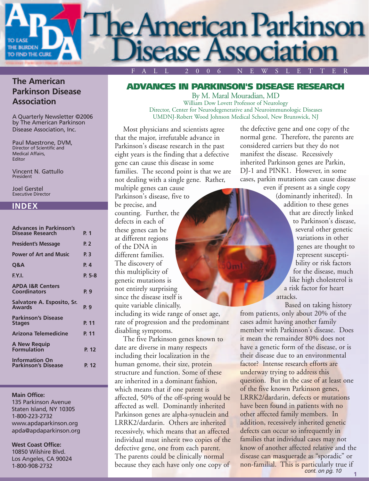

#### **The American Parkinson Disease Association**

A Quarterly Newsletter ©2006 by The American Parkinson Disease Association, Inc.

Paul Maestrone, DVM, Director of Scientific and Medical Affairs, Editor

Vincent N. Gattullo President

Joel Gerstel Executive Director

#### **INDEX**

| <b>Advances in Parkinson's</b>       |          |
|--------------------------------------|----------|
| <b>Disease Research</b>              | P. 1     |
| <b>President's Message</b>           | P. 2     |
| <b>Power of Art and Music</b>        | P. 3     |
| Q&A                                  | P. 4     |
| F.Y.I.                               | $P. 5-8$ |
| <b>APDA I&amp;R Centers</b>          |          |
| Coordinators                         | P. 9     |
| Salvatore A. Esposito, Sr.<br>Awards | P. 9     |
| <b>Parkinson's Disease</b>           |          |
| <b>Stages</b>                        | P. 11    |
| Arizona Telemedicine                 | P. 11    |
| <b>A New Requip</b>                  |          |
| <b>Formulation</b>                   | P. 12    |
| <b>Information On</b>                |          |
| <b>Parkinson's Disease</b>           | P. 12    |

#### **Main Office:**

135 Parkinson Avenue Staten Island, NY 10305 1-800-223-2732 www.apdaparkinson.org apda@apdaparkinson.org

#### **West Coast Office:**

10850 Wilshire Blvd. Los Angeles, CA 90024 1-800-908-2732

#### **ADVANCES IN PARKINSON'S DISEASE RESEARCH**

By M. Maral Mouradian, MD William Dow Lovett Professor of Neurology Director, Center for Neurodegenerative and Neuroimmunologic Diseases UMDNJ-Robert Wood Johnson Medical School, New Brunswick, NJ

Most physicians and scientists agree that the major, irrefutable advance in Parkinson's disease research in the past eight years is the finding that a defective gene can cause this disease in some families. The second point is that we are not dealing with a single gene. Rather,

multiple genes can cause Parkinson's disease, five to be precise, and counting. Further, the defects in each of these genes can be at different regions of the DNA in different families. The discovery of this multiplicity of genetic mutations is not entirely surprising since the disease itself is quite variable clinically,

including its wide range of onset age, rate of progression and the predominant disabling symptoms.

The five Parkinson genes known to date are diverse in many respects including their localization in the human genome, their size, protein structure and function. Some of these are inherited in a dominant fashion, which means that if one parent is affected, 50% of the off-spring would be affected as well. Dominantly inherited Parkinson genes are alpha-synuclein and LRRK2/dardarin. Others are inherited recessively, which means that an affected individual must inherit two copies of the defective gene, one from each parent. The parents could be clinically normal because they each have only one copy of the defective gene and one copy of the normal gene. Therefore, the parents are considered carriers but they do not manifest the disease. Recessively inherited Parkinson genes are Parkin, DJ-1 and PINK1. However, in some cases, parkin mutations can cause disease

even if present as a single copy (dominantly inherited). In addition to these genes that are directly linked to Parkinson's disease, several other genetic variations in other genes are thought to represent susceptibility or risk factors for the disease, much like high cholesterol is a risk factor for heart attacks.

Based on taking history from patients, only about 20% of the cases admit having another family member with Parkinson's disease. Does it mean the remainder 80% does not have a genetic form of the disease, or is their disease due to an environmental factor? Intense research efforts are underway trying to address this question. But in the case of at least one of the five known Parkinson genes, LRRK2/dardarin, defects or mutations have been found in patients with no other affected family members. In addition, recessively inherited genetic defects can occur so infrequently in families that individual cases may not know of another affected relative and the disease can masquerade as "sporadic" or non-familial. This is particularly true if

**1**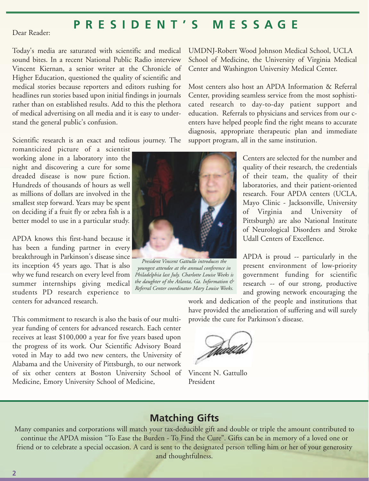# **PRESIDENT'S MESSAGE**

Dear Reader:

Today's media are saturated with scientific and medical sound bites. In a recent National Public Radio interview Vincent Kiernan, a senior writer at the Chronicle of Higher Education, questioned the quality of scientific and medical stories because reporters and editors rushing for headlines run stories based upon initial findings in journals rather than on established results. Add to this the plethora of medical advertising on all media and it is easy to understand the general public's confusion.

Scientific research is an exact and tedious journey. The

romanticized picture of a scientist working alone in a laboratory into the night and discovering a cure for some dreaded disease is now pure fiction. Hundreds of thousands of hours as well as millions of dollars are involved in the smallest step forward. Years may be spent on deciding if a fruit fly or zebra fish is a better model to use in a particular study.

APDA knows this first-hand because it has been a funding partner in every breakthrough in Parkinson's disease since its inception 45 years ago. That is also why we fund research on every level from summer internships giving medical students PD research experience to centers for advanced research.

This commitment to research is also the basis of our multiyear funding of centers for advanced research. Each center receives at least \$100,000 a year for five years based upon the progress of its work. Our Scientific Advisory Board voted in May to add two new centers, the University of Alabama and the University of Pittsburgh, to our network of six other centers at Boston University School of Medicine, Emory University School of Medicine,



*President Vincent Gattullo introduces the youngest attendee at the annual conference in Philadelphia last July. Charlotte Louise Weeks is the daughter of the Atlanta, Ga. Information & Referral Center coordinator Mary Louise Weeks.*

UMDNJ-Robert Wood Johnson Medical School, UCLA School of Medicine, the University of Virginia Medical Center and Washington University Medical Center.

Most centers also host an APDA Information & Referral Center, providing seamless service from the most sophisticated research to day-to-day patient support and education. Referrals to physicians and services from our centers have helped people find the right means to accurate diagnosis, appropriate therapeutic plan and immediate support program, all in the same institution.

> Centers are selected for the number and quality of their research, the credentials of their team, the quality of their laboratories, and their patient-oriented research. Four APDA centers (UCLA, Mayo Clinic - Jacksonville, University of Virginia and University of Pittsburgh) are also National Institute of Neurological Disorders and Stroke Udall Centers of Excellence.

> APDA is proud -- particularly in the present environment of low-priority government funding for scientific research -- of our strong, productive and growing network encouraging the

work and dedication of the people and institutions that have provided the amelioration of suffering and will surely provide the cure for Parkinson's disease.

Vincent N. Gattullo President

# **Matching Gifts**

Many companies and corporations will match your tax-deducible gift and double or triple the amount contributed to continue the APDA mission "To Ease the Burden - To Find the Cure". Gifts can be in memory of a loved one or friend or to celebrate a special occasion. A card is sent to the designated person telling him or her of your generosity and thoughtfulness.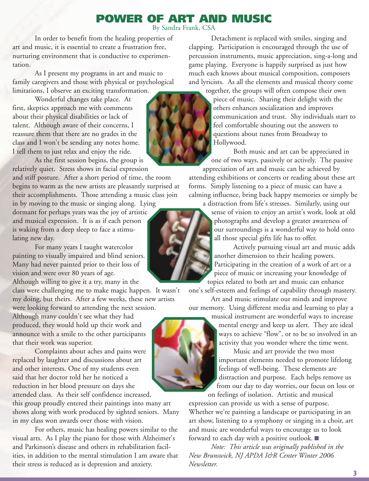# **POWER OF ART AND MU**

By Sandra Frank, CSA

In order to benefit from the healing properties of art and music, it is essential to create a frustration free, nurturing environment that is conductive to experimentation.

As I present my programs in art and music to family caregivers and those with physical or psychological limitations, I observe an exciting transformation.

Wonderful changes take place. At first, skeptics approach me with comments about their physical disabilities or lack of talent. Although aware of their concerns, I reassure them that there are no grades in the class and I won't be sending any notes home. I tell them to just relax and enjoy the ride.

As the first session begins, the group is relatively quiet. Stress shows in facial expression and stiff posture. After a short period of time, the room begins to warm as the new artists are pleasantly surprised at

their accomplishments. Those attending a music class join in by moving to the music or singing along. Lying dormant for perhaps years was the joy of artistic and musical expression. It is as if each person is waking from a deep sleep to face a stimulating new day.

For many years I taught watercolor painting to visually impaired and blind seniors. Many had never painted prior to their loss of vision and were over 80 years of age. Although willing to give it a try, many in the

class were challenging me to make magic happen. It wasn't my doing, but theirs. After a few weeks, these new artists

were looking forward to attending the next session. Although many couldn't see what they had produced, they would hold up their work and announce with a smile to the other participants that their work was superior.

Complaints about aches and pains were replaced by laughter and discussions about art and other interests. One of my students even said that her doctor told her he noticed a reduction in her blood pressure on days she attended class. As their self confidence increased,

this group proudly entered their paintings into many art shows along with work produced by sighted seniors. Many in my class won awards over those with vision.

For others, music has healing powers similar to the visual arts. As I play the piano for those with Alzheimer's and Parkinson's disease and others in rehabilitation facilities, in addition to the mental stimulation I am aware that their stress is reduced as is depression and anxiety.



Detachment is replaced with smiles, singing and clapping. Participation is encouraged through the use of percussion instruments, music appreciation, sing-a-long and game playing. Everyone is happily surprised as just how much each knows about musical composition, composers and lyricists. As all the elements and musical theory come

together, the groups will often compose their own piece of music. Sharing their delight with the others enhances socialization and improves communication and trust. Shy individuals start to feel comfortable shouting out the answers to questions about tunes from Broadway to Hollywood.

Both music and art can be appreciated in one of two ways, passively or actively. The passive appreciation of art and music can be achieved by

attending exhibitions or concerts or reading about these art forms. Simply listening to a piece of music can have a calming influence, bring back happy memories or simply be

a distraction from life's stresses. Similarly, using our sense of vision to enjoy an artist's work, look at old photographs and develop a greater awareness of our surroundings is a wonderful way to hold onto all those special gifts life has to offer.

Actively pursuing visual art and music adds another dimension to their healing powers. Participating in the creation of a work of art or a piece of music or increasing your knowledge of topics related to both art and music can enhance

one's self-esteem and feelings of capability through mastery. Art and music stimulate our minds and improve

our memory. Using different media and learning to play a

musical instrument are wonderful ways to increase mental energy and keep us alert. They are ideal ways to achieve "flow", or to be so involved in an activity that you wonder where the time went.

Music and art provide the two most important elements needed to promote lifelong feelings of well-being. These elements are distraction and purpose. Each helps remove us from our day to day worries, our focus on loss or on feelings of isolation. Artistic and musical

expression can provide us with a sense of purpose. Whether we're painting a landscape or participating in an art show, listening to a symphony or singing in a choir, art and music are wonderful ways to encourage us to look forward to each day with a positive outlook.

*Note: This article was originally published in the New Brunswick, NJ APDA I&R Center Winter 2006 Newsletter.*

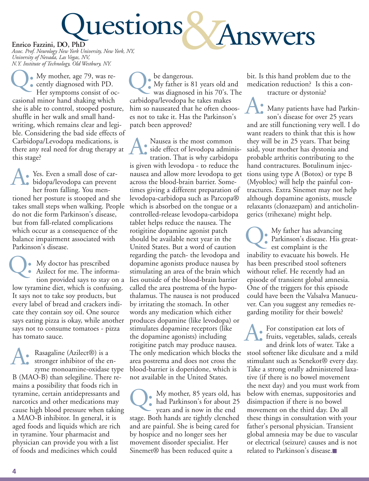

**Enrico Fazzini, DO, PhD** *Assoc. Prof. Neurology New York University, New York, NY, University of Nevada, Las Vegas, NV, N.Y. Institute of Technology, Old Westbury, NY.*

My mother, age 79, was re-My mother, age 79, was re<br>
cently diagnosed with PD.<br>
Her symptoms consist of c Her symptoms consist of occasional minor hand shaking which she is able to control, stooped posture, shuffle in her walk and small handwriting, which remains clear and legible. Considering the bad side effects of Carbidopa/Levodopa medications, is there any real need for drug therapy at this stage?

Yes. Even a small dose of carbidopa/levodopa can prevent her from falling. You mentioned her posture is stooped and she takes small steps when walking. People do not die form Parkinson's disease, but from fall-related complications which occur as a consequence of the balance impairment associated with Parkinson's disease. A:

My doctor has prescribed Azilect for me. The information provided says to stay on a low tyramine diet, which is confusing. It says not to take soy products, but every label of bread and crackers indicate they contain soy oil. One source says eating pizza is okay, while another says not to consume tomatoes - pizza has tomato sauce. Q:

Rasagaline (Azilect®) is a stronger inhibitor of the enzyme monoamine-oxidase type B (MAO-B) than selegiline. There remains a possibility that foods rich in tyramine, certain antidepressants and narcotics and other medications may cause high blood pressure when taking a MAO-B inhibitor. In general, it is aged foods and liquids which are rich in tyramine. Your pharmacist and physician can provide you with a list of foods and medicines which could A:

be dangerous. My father is 81 years old and **Q:** be dangerous.<br>
Wy father is 81 years old and<br>
was diagnosed in his 70's. The carbidopa/levodopa he takes makes him so nauseated that he often chooses not to take it. Has the Parkinson's patch been approved?

Nausea is the most common side effect of levodopa adminis-Nausea is the most common<br>side effect of levodopa adminis<br>tration. That is why carbidopa is given with levodopa - to reduce the nausea and allow more levodopa to get across the blood-brain barrier. Sometimes giving a different preparation of levodopa-carbidopa such as Parcopa® which is absorbed on the tongue or a controlled-release levodopa-carbidopa tablet helps reduce the nausea. The rotigitine dopamine agonist patch should be available next year in the United States. But a word of caution regarding the patch- the levodopa and dopamine agonists produce nausea by stimulating an area of the brain which lies outside of the blood-brain barrier called the area postrema of the hypothalamus. The nausea is not produced by irritating the stomach. In other words any medication which either produces dopamine (like levodopa) or stimulates dopamine receptors (like the dopamine agonists) including rotigitine patch may produce nausea. The only medication which blocks the area postrema and does not cross the blood-barrier is doperidone, which is not available in the United States.

My mother, 85 years old, has had Parkinson's for about 25 Wy mother, 85 years old, h<br>had Parkinson's for about 2<br>years and is now in the end stage. Both hands are tightly clenched and are painful. She is being cared for by hospice and no longer sees her movement disorder specialist. Her Sinemet® has been reduced quite a

bit. Is this hand problem due to the medication reduction? Is this a contracture or dystonia?

Many patients have had Parkinson's disease for over 25 years and are still functioning very well. I do want readers to think that this is how they will be in 25 years. That being said, your mother has dystonia and probable arthritis contributing to the hand contractures. Botulinum injections using type A (Botox) or type B (Myobloc) will help the painful contractures. Extra Sinemet may not help although dopamine agonists, muscle relaxants (clonazepam) and anticholingerics (trihexane) might help. A:

My father has advancing Parkinson's disease. His great-My father has advan<br>Parkinson's disease.<br>est complaint is the inability to evacuate his bowels. He has been prescribed stool softeners without relief. He recently had an episode of transient global amnesia. One of the triggers for this episode could have been the Valsalva Manueuver. Can you suggest any remedies regarding motility for their bowels?

For constipation eat lots of fruits, vegetables, salads, cereals and drink lots of water. Take a stool softener like diculsate and a mild stimulant such as Senekot® every day. Take a strong orally administered laxative (if there is no bowel movement the next day) and you must work from below with enemas, suppositories and disimpaction if there is no bowel movement on the third day. Do all these things in consultation with your father's personal physician. Transient global amnesia may be due to vascular or electrical (seizure) causes and is not related to Parkinson's disease. A: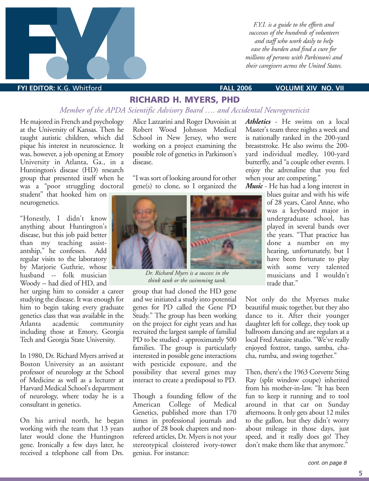

*F.Y.I. is a guide to the efforts and successes of the hundreds of volunteers and staff who work daily to help ease the burden and find a cure for millions of persons with Parkinson's and their caregivers across the United States.*

#### **FYI EDITOR:** K.G. Whitford **FALL 2006 VOLUME XIV NO. VII**

#### **RICHARD H. MYERS, PHD**

#### *Member of the APDA Scientific Advisory Board …. and Accidental Neurogeneticist*

He majored in French and psychology at the University of Kansas. Then he taught autistic children, which did pique his interest in neuroscience. It was, however, a job opening at Emory University in Atlanta, Ga., in a Huntington's disease (HD) research group that presented itself when he was a "poor struggling doctoral

student" that hooked him on neurogenetics.

"Honestly, I didn't know anything about Huntington's disease, but this job paid better than my teaching assistantship," he confesses. Add regular visits to the laboratory by Marjorie Guthrie, whose husband -- folk musician Woody -- had died of HD, and

her urging him to consider a career studying the disease. It was enough for him to begin taking every graduate genetics class that was available in the Atlanta academic community including those at Emory, Georgia Tech and Georgia State University.

In 1980, Dr. Richard Myers arrived at Boston University as an assistant professor of neurology at the School of Medicine as well as a lecturer at Harvard Medical School's department of neurology, where today he is a consultant in genetics.

On his arrival north, he began working with the team that 13 years later would clone the Huntington gene. Ironically a few days later, he received a telephone call from Drs.

Alice Lazzarini and Roger Duvoisin at Robert Wood Johnson Medical School in New Jersey, who were working on a project examining the possible role of genetics in Parkinson's disease.

"I was sort of looking around for other gene(s) to clone, so I organized the



*Dr. Richard Myers is a success in the think tank or the swimming tank.*

group that had cloned the HD gene and we initiated a study into potential genes for PD called the Gene PD Study." The group has been working on the project for eight years and has recruited the largest sample of familial PD to be studied - approximately 500 families. The group is particularly interested in possible gene interactions with pesticide exposure, and the possibility that several genes may interact to create a predisposal to PD.

Though a founding fellow of the American College of Medical Genetics, published more than 170 times in professional journals and author of 28 book chapters and nonrefereed articles, Dr. Myers is not your stereotypical cloistered ivory-tower genius. For instance:

*Athletics* - He swims on a local Master's team three nights a week and is nationally ranked in the 200-yard breaststroke. He also swims the 200 yard individual medley, 100-yard butterfly, and "a couple other events. I enjoy the adrenaline that you feel when your are competing."

*Music* - He has had a long interest in

blues guitar and with his wife of 28 years, Carol Anne, who was a keyboard major in undergraduate school, has played in several bands over the years. "That practice has done a number on my hearing, unfortunately, but I have been fortunate to play with some very talented musicians and I wouldn't trade that."

Not only do the Myerses make beautiful music together, but they also dance to it. After their younger daughter left for college, they took up ballroom dancing and are regulars at a local Fred Astaire studio. "We've really enjoyed foxtrot, tango, samba, chacha, rumba, and swing together."

Then, there's the 1963 Corvette Sting Ray (split window coupe) inherited from his mother-in-law. "It has been fun to keep it running and to tool around in that car on Sunday afternoons. It only gets about 12 miles to the gallon, but they didn't worry about mileage in those days, just speed, and it really does go! They don't make them like that anymore."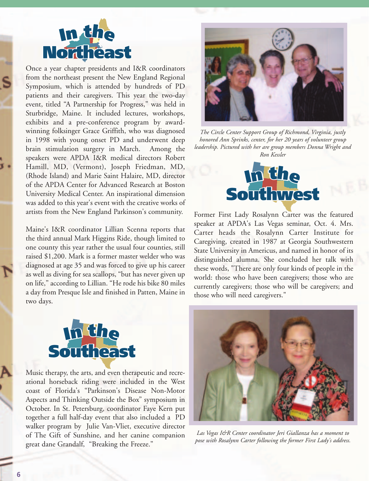

Once a year chapter presidents and I&R coordinators<br>from the northeast present the New England Regional from the northeast present the New England Regional Symposium, which is attended by hundreds of PD patients and their caregivers. This year the two-day event, titled "A Partnership for Progress," was held in event, titled A rartnership for Progress, was neid in<br>Sturbridge, Maine. It included lectures, workshops, exhibits and a pre-conference program by awardwinning folksinger Grace Griffith, who was diagnosed<br>in 1998 with young onset PD and underwent deep in 1998 with young onset PD and underwent deep brain stimulation surgery in March. Among the speakers were APDA I&R medical directors Robert Hamill, MD, (Vermont), Joseph Friedman, MD, (Rhode Island) and Marie Saint Halaire, MD, director of the APDA Center for Advanced Research at Boston University Medical Center. An inspirational dimension was added to this year's event with the creative works of artists from the New England Parkinson's community. Is were APDA T&K medical contains the Island) and Marie Saint Halair<br>**Island) and Marie Saint Halair**<br>APDA Center for Advanced Res<br>sity Medical Center. An inspirat

Maine's I&R coordinator Lillian Scenna reports that the third annual Mark Higgins Ride, though limited to one county this year rather the usual four counties, still raised \$1,200. Mark is a former master welder who was diagnosed at age 35 and was forced to give up his career as well as diving for sea scallops, "but has never given up<br>
as well as diving for sea scallops, "but has never given up<br>
on life " according to I illian. "He rode his bike 80 miles on life," according to Lillian. "He rode his bike 80 miles a day from Presque Isle and finished in Patten, Maine in two days. two days. **C**<br>**C** coordinator Lillia:<br>ual Mark Higgins R<br>his year rather the u



**Midwest** *honored Ann Sprinks, center, for her 20 years of volunteer group The Circle Center Support Group of Richmond, Virginia, justly leadership. Pictured with her are group members Donna Wright and Ron Kessler*



Former First Lady Rosalynn Carter was the featured speaker at APDA's Las Vegas seminar, Oct. 4. Mrs. Carter heads the Rosalynn Carter Institute for Caregiving, created in 1987 at Georgia Southwestern State University in Americus, and named in honor of its distinguished alumna. She concluded her talk with these words, "There are only four kinds of people in the world: those who have been caregivers; those who are world: those who have been caregivers; those who are currently caregivers; those who will be caregivers; and **West** Segas seminary exponenting the Rosalynn Carried in 1987 at Geo.<br>The Americus, and nan



Music therapy, the arts, and even therapeutic and recreational horseback riding were included in the West coast of Florida's "Parkinson's Disease Non-Motor Aspects and Thinking Outside the Box" symposium in October. In St. Petersburg, coordinator Faye Kern put together a full half-day event that also included a PD walker program by Julie Van-Vliet, executive director of The Gift of Sunshine, and her canine companion great dane Grandalf, "Breaking the Freeze."



*Las Vegas I&R Center coordinator Jeri Giallanza has a moment to pose with Rosalynn Carter following the former First Lady's address.*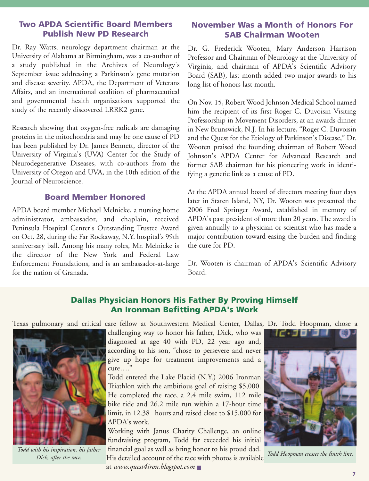#### **Two APDA Scientific Board Members Publish New PD Research**

Dr. Ray Watts, neurology department chairman at the University of Alabama at Birmingham, was a co-author of a study published in the Archives of Neurology's September issue addressing a Parkinson's gene mutation and disease severity. APDA, the Department of Veterans Affairs, and an international coalition of pharmaceutical and governmental health organizations supported the study of the recently discovered LRRK2 gene.

Research showing that oxygen-free radicals are damaging proteins in the mitochondria and may be one cause of PD has been published by Dr. James Bennett, director of the University of Virginia's (UVA) Center for the Study of Neurodegenerative Diseases, with co-authors from the University of Oregon and UVA, in the 10th edition of the Journal of Neuroscience.

#### **Board Member Honored**

APDA board member Michael Melnicke, a nursing home administrator, ambassador, and chaplain, received Peninsula Hospital Center's Outstanding Trustee Award on Oct. 28, during the Far Rockaway, N.Y. hospital's 99th anniversary ball. Among his many roles, Mr. Melnicke is the director of the New York and Federal Law Enforcement Foundations, and is an ambassador-at-large for the nation of Granada.

#### **November Was a Month of Honors For SAB Chairman Wooten**

Dr. G. Frederick Wooten, Mary Anderson Harrison Professor and Chairman of Neurology at the University of Virginia, and chairman of APDA's Scientific Advisory Board (SAB), last month added two major awards to his long list of honors last month.

On Nov. 15, Robert Wood Johnson Medical School named him the recipient of its first Roger C. Duvoisin Visiting Professorship in Movement Disorders, at an awards dinner in New Brunswick, N.J. In his lecture, "Roger C. Duvoisin and the Quest for the Etiology of Parkinson's Disease," Dr. Wooten praised the founding chairman of Robert Wood Johnson's APDA Center for Advanced Research and former SAB chairman for his pioneering work in identifying a genetic link as a cause of PD.

At the APDA annual board of directors meeting four days later in Staten Island, NY, Dr. Wooten was presented the 2006 Fred Springer Award, established in memory of APDA's past president of more than 20 years. The award is given annually to a physician or scientist who has made a major contribution toward easing the burden and finding the cure for PD.

Dr. Wooten is chairman of APDA's Scientific Advisory Board.

#### **Dallas Physician Honors His Father By Proving Himself An Ironman Befitting APDA's Work**

Texas pulmonary and critical care fellow at Southwestern Medical Center, Dallas, Dr. Todd Hoopman, chose a



*Todd with his inspiration, his father*

challenging way to honor his father, Dick, who was diagnosed at age 40 with PD, 22 year ago and, according to his son, "chose to persevere and never give up hope for treatment improvements and a cure…."

Todd entered the Lake Placid (N.Y.) 2006 Ironman Triathlon with the ambitious goal of raising \$5,000. He completed the race, a 2.4 mile swim, 112 mile bike ride and 26.2 mile run within a 17-hour time limit, in 12.38 hours and raised close to \$15,000 for APDA's work.

Working with Janus Charity Challenge, an online fundraising program, Todd far exceeded his initial financial goal as well as bring honor to his proud dad. His detailed account of the race with photos is available *Dick, after the race. Todd Hoopman crosses the finish line.*



at *www.quest4iron.blogspot.com*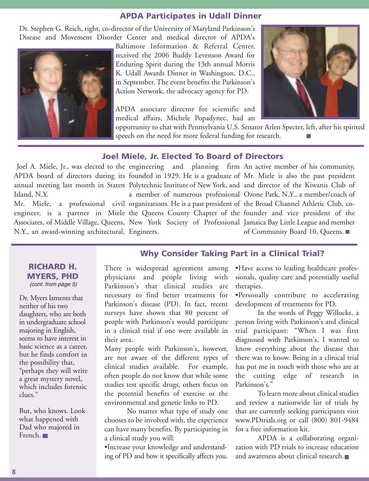#### **APDA Participates in Udall Dinner**

Dr. Stephen G. Reich, right, co-director of the University of Maryland Parkinson's Disease and Movement Disorder Center and medical director of APDA's



Baltimore Information & Referral Center, received the 2006 Buddy Levenson Award for Enduring Spirit during the 13th annual Morris K. Udall Awards Dinner in Washington, D.C., in September. The event benefits the Parkinson's Action Network, the advocacy agency for PD.

APDA associate director for scientific and medical affairs, Michele Popadynec, had an



opportunity to chat with Pennsylvania U.S. Senator Arlen Specter, left, after his spirited speech on the need for more federal funding for research.

#### **Joel Miele, Jr. Elected To Board of Directors**

Island, N.Y.

N.Y., an award-winning architectural, Engineers.

APDA board of directors during its founded in 1929. He is a graduate of Mr. Miele is also the past president annual meeting last month in Staten Polytechnic Institute of New York, and and director of the Kiwanis Club of Mr. Miele, a professional civil organizations. He is a past president of the Broad Channel Athletic Club, coengineer, is a partner in Miele the Queens County Chapter of the founder and vice president of the Associates, of Middle Village, Queens, New York Society of Professional Jamaica Bay Little League and member

Joel A. Miele, Jr., was elected to the engineering and planning firm An active member of his community, a member of numerous professional Ozone Park, N.Y., a member/coach of of Community Board 10, Queens.

#### **RICHARD H. MYERS, PHD** (cont. from page 5)

Dr. Myers laments that neither of his two daughters, who are both in undergraduate school majoring in English, seems to have interest in basic science as a career, but he finds comfort in the possibility that, "perhaps they will write a great mystery novel, which includes forensic clues."

But, who knows. Look what happened with Dad who majored in French.

### **Why Consider Taking Part in a Clinical Trial?**

There is widespread agreement among physicians and people living with Parkinson's that clinical studies are necessary to find better treatments for Parkinson's disease (PD). In fact, recent surveys have shown that 80 percent of people with Parkinson's would participate in a clinical trial if one were available in their area.

Many people with Parkinson's, however, are not aware of the different types of clinical studies available. For example, often people do not know that while some studies test specific drugs, others focus on the potential benefits of exercise or the environmental and genetic links to PD.

No matter what type of study one chooses to be involved with, the experience can have many benefits. By participating in a clinical study you will:

•Increase your knowledge and understanding of PD and how it specifically affects you. •Have access to leading healthcare professionals, quality care and potentially useful therapies.

•Personally contribute to accelerating development of treatments for PD.

In the words of Peggy Willocks, a person living with Parkinson's and clinical trial participant: "When I was first diagnosed with Parkinson's, I wanted to know everything about the disease that there was to know. Being in a clinical trial has put me in touch with those who are at the cutting edge of research in Parkinson's."

To learn more about clinical studies and review a nationwide list of trials by that are currently seeking participants visit www.PDtrials.org or call (800) 801-9484 for a free information kit.

APDA is a collaborating organization with PD trials to increase education and awareness about clinical research.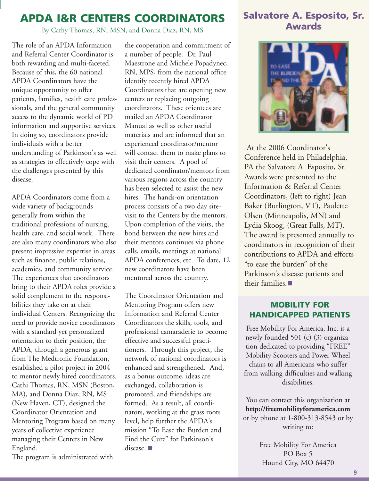# **APDA I&R CENTERS COORDINATORS**

By Cathy Thomas, RN, MSN, and Donna Diaz, RN, MS

The role of an APDA Information and Referral Center Coordinator is both rewarding and multi-faceted. Because of this, the 60 national APDA Coordinators have the unique opportunity to offer patients, families, health care professionals, and the general community access to the dynamic world of PD information and supportive services. In doing so, coordinators provide individuals with a better understanding of Parkinson's as well as strategies to effectively cope with the challenges presented by this disease.

APDA Coordinators come from a wide variety of backgrounds generally from within the traditional professions of nursing, health care, and social work. There are also many coordinators who also present impressive expertise in areas such as finance, public relations, academics, and community service. The experiences that coordinators bring to their APDA roles provide a solid complement to the responsibilities they take on at their individual Centers. Recognizing the need to provide novice coordinators with a standard yet personalized orientation to their position, the APDA, through a generous grant from The Medtronic Foundation, established a pilot project in 2004 to mentor newly hired coordinators. Cathi Thomas, RN, MSN (Boston, MA), and Donna Diaz, RN, MS (New Haven, CT), designed the Coordinator Orientation and Mentoring Program based on many years of collective experience managing their Centers in New England.

The program is administrated with

the cooperation and commitment of a number of people. Dr. Paul Maestrone and Michele Popadynec, RN, MPS, from the national office identify recently hired APDA Coordinators that are opening new centers or replacing outgoing coordinators. These orientees are mailed an APDA Coordinator Manual as well as other useful materials and are informed that an experienced coordinator/mentor will contact them to make plans to visit their centers. A pool of dedicated coordinator/mentors from various regions across the country has been selected to assist the new hires. The hands-on orientation process consists of a two day sitevisit to the Centers by the mentors. Upon completion of the visits, the bond between the new hires and their mentors continues via phone calls, emails, meetings at national APDA conferences, etc. To date, 12 new coordinators have been mentored across the country.

The Coordinator Orientation and Mentoring Program offers new Information and Referral Center Coordinators the skills, tools, and professional camaraderie to become effective and successful practitioners. Through this project, the network of national coordinators is enhanced and strengthened. And, as a bonus outcome, ideas are exchanged, collaboration is promoted, and friendships are formed. As a result, all coordinators, working at the grass roots level, help further the APDA's mission "To Ease the Burden and Find the Cure" for Parkinson's disease.  $\blacksquare$ 

## **Salvatore A. Esposito, Sr. Awards**



At the 2006 Coordinator's Conference held in Philadelphia, PA the Salvatore A. Esposito, Sr. Awards were presented to the Information & Referral Center Coordinators, (left to right) Jean Baker (Burlington, VT), Paulette Olsen (Minneapolis, MN) and Lydia Skoog, (Great Falls, MT). The award is presented annually to coordinators in recognition of their contributions to APDA and efforts "to ease the burden" of the Parkinson's disease patients and their families.

#### **MOBILITY FOR HANDICAPPED PATIENTS**

Free Mobility For America, Inc. is a newly founded 501 (c) (3) organization dedicated to providing "FREE" Mobility Scooters and Power Wheel chairs to all Americans who suffer from walking difficulties and walking disabilities.

You can contact this organization at **http://freemobilityforamerica.com** or by phone at 1-800-313-8543 or by writing to:

> Free Mobility For America PO Box 5 Hound City, MO 64470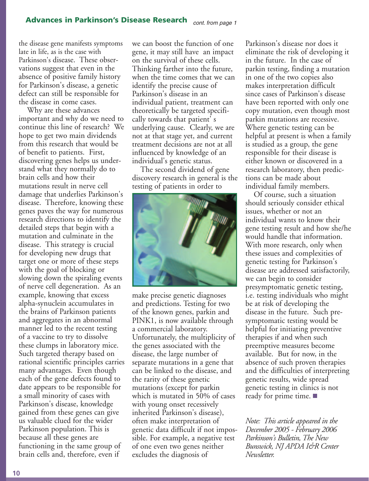the disease gene manifests symptoms late in life, as is the case with Parkinson's disease. These observations suggest that even in the absence of positive family history for Parkinson's disease, a genetic defect can still be responsible for the disease in come cases.

Why are these advances important and why do we need to continue this line of research? We hope to get two main dividends from this research that would be of benefit to patients. First, discovering genes helps us understand what they normally do to brain cells and how their mutations result in nerve cell damage that underlies Parkinson's disease. Therefore, knowing these genes paves the way for numerous research directions to identify the detailed steps that begin with a mutation and culminate in the disease. This strategy is crucial for developing new drugs that target one or more of these steps with the goal of blocking or slowing down the spiraling events of nerve cell degeneration. As an example, knowing that excess alpha-synuclein accumulates in the brains of Parkinson patients and aggregates in an abnormal manner led to the recent testing of a vaccine to try to dissolve these clumps in laboratory mice. Such targeted therapy based on rational scientific principles carries many advantages. Even though each of the gene defects found to date appears to be responsible for a small minority of cases with Parkinson's disease, knowledge gained from these genes can give us valuable clued for the wider Parkinson population. This is because all these genes are functioning in the same group of brain cells and, therefore, even if

we can boost the function of one gene, it may still have an impact on the survival of these cells. Thinking farther into the future, when the time comes that we can identify the precise cause of Parkinson's disease in an individual patient, treatment can theoretically be targeted specifically towards that patient' s underlying cause. Clearly, we are not at that stage yet, and current treatment decisions are not at all influenced by knowledge of an individual's genetic status.

The second dividend of gene discovery research in general is the testing of patients in order to



make precise genetic diagnoses and predictions. Testing for two of the known genes, parkin and PINK1, is now available through a commercial laboratory. Unfortunately, the multiplicity of the genes associated with the disease, the large number of separate mutations in a gene that can be linked to the disease, and the rarity of these genetic mutations (except for parkin which is mutated in 50% of cases with young onset recessively inherited Parkinson's disease), often make interpretation of genetic data difficult if not impossible. For example, a negative test of one even two genes neither excludes the diagnosis of

Parkinson's disease nor does it eliminate the risk of developing it in the future. In the case of parkin testing, finding a mutation in one of the two copies also makes interpretation difficult since cases of Parkinson's disease have been reported with only one copy mutation, even though most parkin mutations are recessive. Where genetic testing can be helpful at present is when a family is studied as a group, the gene responsible for their disease is either known or discovered in a research laboratory, then predictions can be made about individual family members.

Of course, such a situation should seriously consider ethical issues, whether or not an individual wants to know their gene testing result and how she/he would handle that information. With more research, only when these issues and complexities of genetic testing for Parkinson's disease are addressed satisfactorily, we can begin to consider presymptomatic genetic testing, i.e. testing individuals who might be at risk of developing the disease in the future. Such presymptomatic testing would be helpful for initiating preventive therapies if and when such preemptive measures become available. But for now, in the absence of such proven therapies and the difficulties of interpreting genetic results, wide spread genetic testing in clinics is not ready for prime time.

*Note: This article appeared in the December 2005 - February 2006 Parkinson's Bulletin, The New Bunswick, NJ APDA I&R Center Newsletter.*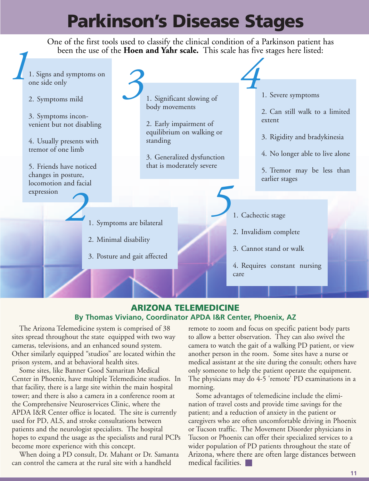# **Parkinson's Disease Stages**

One of the first tools used to classify the clinical condition of a Parkinson patient has been the use of the **Hoen and Yahr scale.** This scale has five stages here listed:



#### **ARIZONA TELEMEDICINE By Thomas Viviano, Coordinator APDA I&R Center, Phoenix, AZ**

The Arizona Telemedicine system is comprised of 38 sites spread throughout the state equipped with two way cameras, televisions, and an enhanced sound system. Other similarly equipped "studios" are located within the prison system, and at behavioral health sites.

Some sites, like Banner Good Samaritan Medical Center in Phoenix, have multiple Telemedicine studios. In that facility, there is a large site within the main hospital tower; and there is also a camera in a conference room at the Comprehensive Neuroservices Clinic, where the APDA I&R Center office is located. The site is currently used for PD, ALS, and stroke consultations between patients and the neurologist specialists. The hospital hopes to expand the usage as the specialists and rural PCPs become more experience with this concept.

When doing a PD consult, Dr. Mahant or Dr. Samanta can control the camera at the rural site with a handheld

remote to zoom and focus on specific patient body parts to allow a better observation. They can also swivel the camera to watch the gait of a walking PD patient, or view another person in the room. Some sites have a nurse or medical assistant at the site during the consult; others have only someone to help the patient operate the equipment. The physicians may do 4-5 'remote' PD examinations in a morning.

Some advantages of telemedicine include the elimination of travel costs and provide time savings for the patient; and a reduction of anxiety in the patient or caregivers who are often uncomfortable driving in Phoenix or Tucson traffic. The Movement Disorder physicians in Tucson or Phoenix can offer their specialized services to a wider population of PD patients throughout the state of Arizona, where there are often large distances between medical facilities.